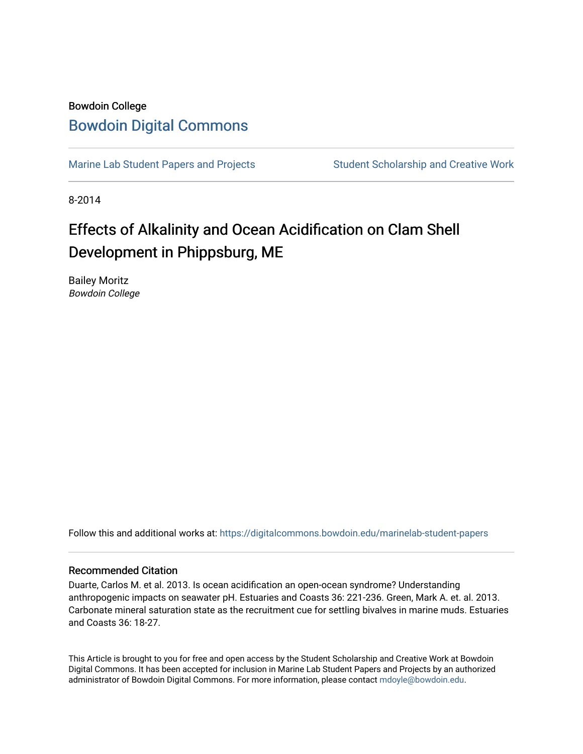## Bowdoin College [Bowdoin Digital Commons](https://digitalcommons.bowdoin.edu/)

[Marine Lab Student Papers and Projects](https://digitalcommons.bowdoin.edu/marinelab-student-papers) Student Scholarship and Creative Work

8-2014

## Effects of Alkalinity and Ocean Acidification on Clam Shell Development in Phippsburg, ME

Bailey Moritz Bowdoin College

Follow this and additional works at: [https://digitalcommons.bowdoin.edu/marinelab-student-papers](https://digitalcommons.bowdoin.edu/marinelab-student-papers?utm_source=digitalcommons.bowdoin.edu%2Fmarinelab-student-papers%2F17&utm_medium=PDF&utm_campaign=PDFCoverPages) 

## Recommended Citation

Duarte, Carlos M. et al. 2013. Is ocean acidification an open-ocean syndrome? Understanding anthropogenic impacts on seawater pH. Estuaries and Coasts 36: 221-236. Green, Mark A. et. al. 2013. Carbonate mineral saturation state as the recruitment cue for settling bivalves in marine muds. Estuaries and Coasts 36: 18-27.

This Article is brought to you for free and open access by the Student Scholarship and Creative Work at Bowdoin Digital Commons. It has been accepted for inclusion in Marine Lab Student Papers and Projects by an authorized administrator of Bowdoin Digital Commons. For more information, please contact [mdoyle@bowdoin.edu.](mailto:mdoyle@bowdoin.edu)